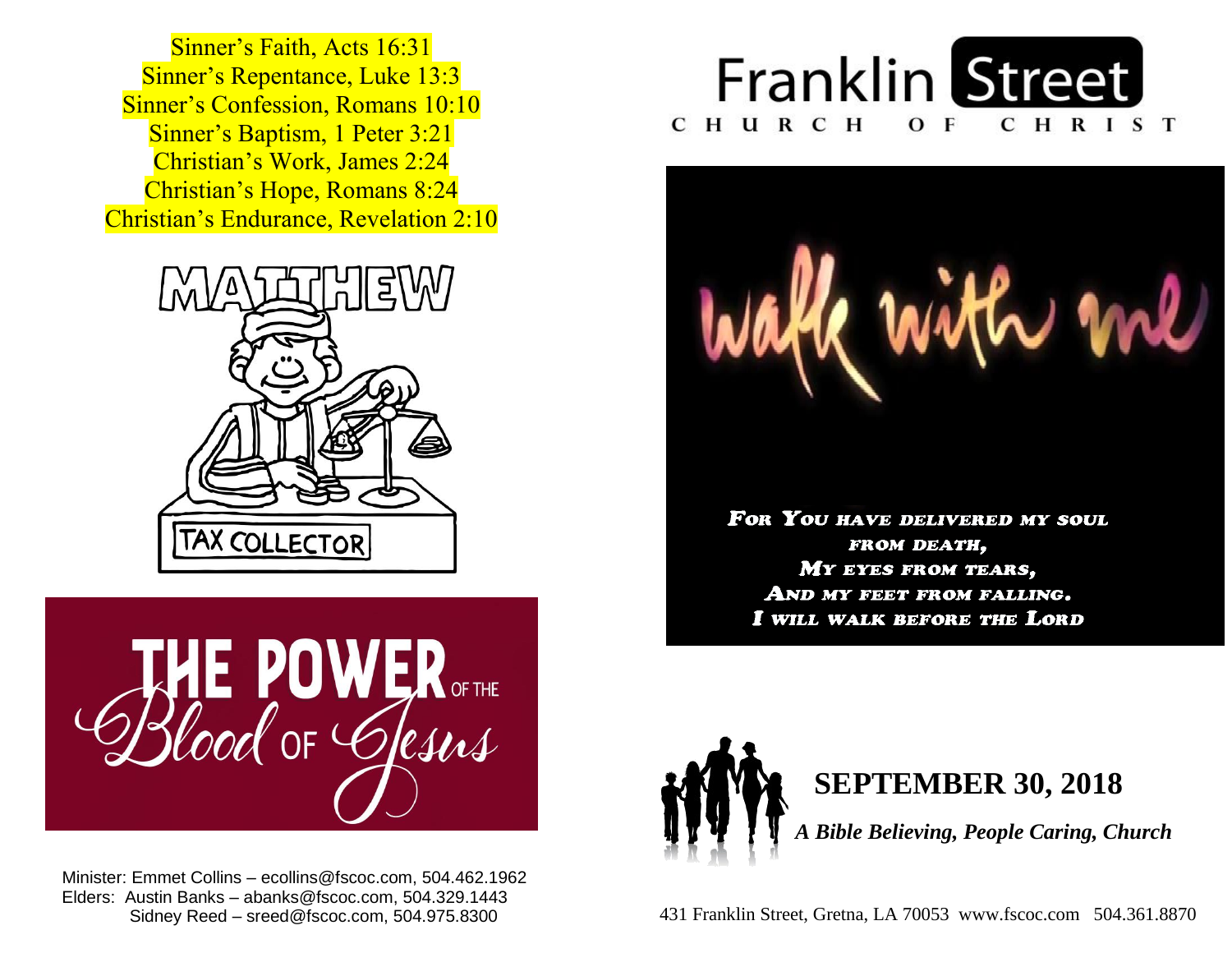**Sinner's Baptism, 1 Peter 3:21**  Christian's Work, James 2:24  Christian's Hope, Romans 8:24  Christian's Endurance, Revelation 2:10 Sinner's Faith, Acts 16:31 Sinner's Repentance, Luke 13:3 Sinner's Confession, Romans 10:10





 Minister: Emmet Collins – ecollins@fscoc.com, 504.462.1962  Elders: Austin Banks – abanks@fscoc.com, 504.329.1443 Sidney Reed – sreed@fscoc.com, 504.975.8300





FOR YOU HAVE DELIVERED MY SOUL FROM DEATH, MY EYES FROM TEARS, AND MY FEET FROM FALLING. I WILL WALK BEFORE THE LORD



## **SEPTEMBER 30, 2018**

 *A Bible Believing, People Caring, Church*